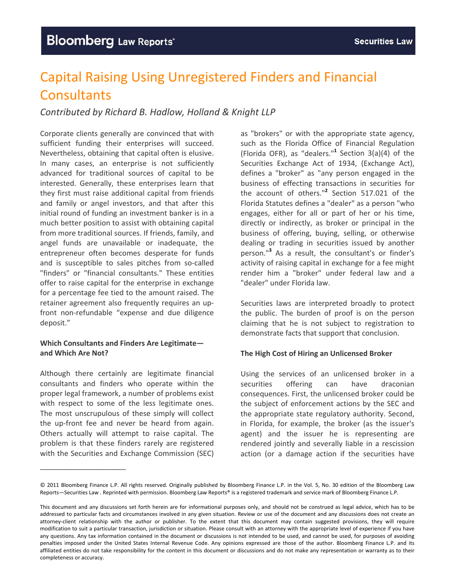## Capital Raising Using Unregistered Finders and Financial **Consultants**

*Contributed by Richard B. Hadlow, Holland & Knight LLP* 

Corporate clients generally are convinced that with sufficient funding their enterprises will succeed. Nevertheless, obtaining that capital often is elusive. In many cases, an enterprise is not sufficiently advanced for traditional sources of capital to be interested. Generally, these enterprises learn that they first must raise additional capital from friends and family or angel investors, and that after this initial round of funding an investment banker is in a much better position to assist with obtaining capital from more traditional sources. If friends, family, and angel funds are unavailable or inadequate, the entrepreneur often becomes desperate for funds and is susceptible to sales pitches from so-called "finders" or "financial consultants." These entities offer to raise capital for the enterprise in exchange for a percentage fee tied to the amount raised. The retainer agreement also frequently requires an up‐ front non‐refundable "expense and due diligence deposit."

### **Which Consultants and Finders Are Legitimate and Which Are Not?**

Although there certainly are legitimate financial consultants and finders who operate within the proper legal framework, a number of problems exist with respect to some of the less legitimate ones. The most unscrupulous of these simply will collect the up-front fee and never be heard from again. Others actually will attempt to raise capital. The problem is that these finders rarely are registered with the Securities and Exchange Commission (SEC)

\_\_\_\_\_\_\_\_\_\_\_\_\_\_\_\_

as "brokers" or with the appropriate state agency, such as the Florida Office of Financial Regulation (Florida OFR), as "dealers."**<sup>1</sup>** Section 3(a)(4) of the Securities Exchange Act of 1934, (Exchange Act), defines a "broker" as "any person engaged in the business of effecting transactions in securities for the account of others."**<sup>2</sup>** Section 517.021 of the Florida Statutes defines a "dealer" as a person "who engages, either for all or part of her or his time, directly or indirectly, as broker or principal in the business of offering, buying, selling, or otherwise dealing or trading in securities issued by another person."**<sup>3</sup>** As a result, the consultant's or finder's activity of raising capital in exchange for a fee might render him a "broker" under federal law and a "dealer" under Florida law.

Securities laws are interpreted broadly to protect the public. The burden of proof is on the person claiming that he is not subject to registration to demonstrate facts that support that conclusion.

### **The High Cost of Hiring an Unlicensed Broker**

Using the services of an unlicensed broker in a securities offering can have draconian consequences. First, the unlicensed broker could be the subject of enforcement actions by the SEC and the appropriate state regulatory authority. Second, in Florida, for example, the broker (as the issuer's agent) and the issuer he is representing are rendered jointly and severally liable in a rescission action (or a damage action if the securities have

<sup>©</sup> 2011 Bloomberg Finance L.P. All rights reserved. Originally published by Bloomberg Finance L.P. in the Vol. 5, No. 30 edition of the Bloomberg Law Reports—Securities Law . Reprinted with permission. Bloomberg Law Reports® is a registered trademark and service mark of Bloomberg Finance L.P.

This document and any discussions set forth herein are for informational purposes only, and should not be construed as legal advice, which has to be addressed to particular facts and circumstances involved in any given situation. Review or use of the document and any discussions does not create an attorney‐client relationship with the author or publisher. To the extent that this document may contain suggested provisions, they will require modification to suit a particular transaction, jurisdiction or situation. Please consult with an attorney with the appropriate level of experience if you have any questions. Any tax information contained in the document or discussions is not intended to be used, and cannot be used, for purposes of avoiding penalties imposed under the United States Internal Revenue Code. Any opinions expressed are those of the author. Bloomberg Finance L.P. and its affiliated entities do not take responsibility for the content in this document or discussions and do not make any representation or warranty as to their completeness or accuracy.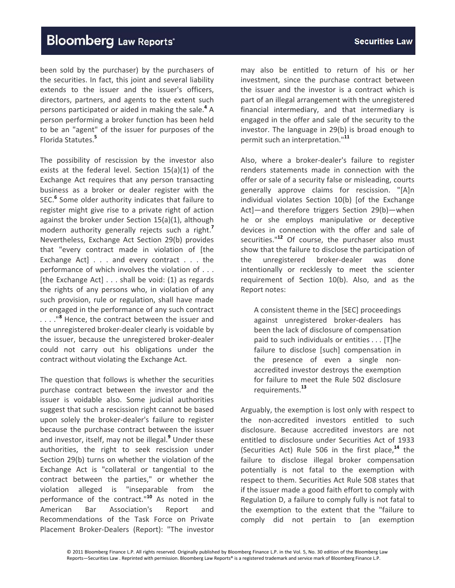been sold by the purchaser) by the purchasers of the securities. In fact, this joint and several liability extends to the issuer and the issuer's officers, directors, partners, and agents to the extent such persons participated or aided in making the sale.**<sup>4</sup>** A person performing a broker function has been held to be an "agent" of the issuer for purposes of the Florida Statutes.**<sup>5</sup>**

The possibility of rescission by the investor also exists at the federal level. Section 15(a)(1) of the Exchange Act requires that any person transacting business as a broker or dealer register with the SEC.**<sup>6</sup>** Some older authority indicates that failure to register might give rise to a private right of action against the broker under Section 15(a)(1), although modern authority generally rejects such a right.**<sup>7</sup>** Nevertheless, Exchange Act Section 29(b) provides that "every contract made in violation of [the Exchange Act] . . . and every contract . . . the performance of which involves the violation of . . . [the Exchange Act] . . . shall be void: (1) as regards the rights of any persons who, in violation of any such provision, rule or regulation, shall have made or engaged in the performance of any such contract . . . ."**<sup>8</sup>** Hence, the contract between the issuer and the unregistered broker‐dealer clearly is voidable by the issuer, because the unregistered broker‐dealer could not carry out his obligations under the contract without violating the Exchange Act.

The question that follows is whether the securities purchase contract between the investor and the issuer is voidable also. Some judicial authorities suggest that such a rescission right cannot be based upon solely the broker‐dealer's failure to register because the purchase contract between the issuer and investor, itself, may not be illegal.**<sup>9</sup>** Under these authorities, the right to seek rescission under Section 29(b) turns on whether the violation of the Exchange Act is "collateral or tangential to the contract between the parties," or whether the violation alleged is "inseparable from the performance of the contract."**<sup>10</sup>** As noted in the American Bar Association's Report and Recommendations of the Task Force on Private Placement Broker‐Dealers (Report): "The investor

may also be entitled to return of his or her investment, since the purchase contract between the issuer and the investor is a contract which is part of an illegal arrangement with the unregistered financial intermediary, and that intermediary is engaged in the offer and sale of the security to the investor. The language in 29(b) is broad enough to permit such an interpretation."**<sup>11</sup>**

Also, where a broker‐dealer's failure to register renders statements made in connection with the offer or sale of a security false or misleading, courts generally approve claims for rescission. "[A]n individual violates Section 10(b) [of the Exchange Act]—and therefore triggers Section 29(b)—when he or she employs manipulative or deceptive devices in connection with the offer and sale of securities."**<sup>12</sup>** Of course, the purchaser also must show that the failure to disclose the participation of the unregistered broker‐dealer was done intentionally or recklessly to meet the scienter requirement of Section 10(b). Also, and as the Report notes:

A consistent theme in the [SEC] proceedings against unregistered broker‐dealers has been the lack of disclosure of compensation paid to such individuals or entities . . . [T]he failure to disclose [such] compensation in the presence of even a single non‐ accredited investor destroys the exemption for failure to meet the Rule 502 disclosure requirements.**<sup>13</sup>**

Arguably, the exemption is lost only with respect to the non‐accredited investors entitled to such disclosure. Because accredited investors are not entitled to disclosure under Securities Act of 1933 (Securities Act) Rule 506 in the first place,**<sup>14</sup>** the failure to disclose illegal broker compensation potentially is not fatal to the exemption with respect to them. Securities Act Rule 508 states that if the issuer made a good faith effort to comply with Regulation D, a failure to comply fully is not fatal to the exemption to the extent that the "failure to comply did not pertain to [an exemption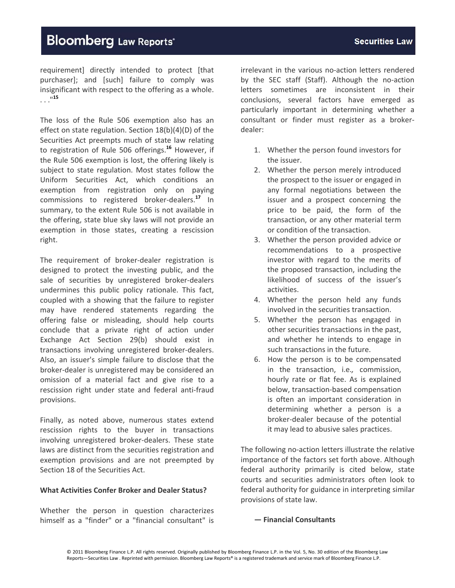requirement] directly intended to protect [that purchaser]; and [such] failure to comply was insignificant with respect to the offering as a whole. . . ."**<sup>15</sup>**

The loss of the Rule 506 exemption also has an effect on state regulation. Section 18(b)(4)(D) of the Securities Act preempts much of state law relating to registration of Rule 506 offerings.**<sup>16</sup>** However, if the Rule 506 exemption is lost, the offering likely is subject to state regulation. Most states follow the Uniform Securities Act, which conditions an exemption from registration only on paying commissions to registered broker‐dealers.**<sup>17</sup>** In summary, to the extent Rule 506 is not available in the offering, state blue sky laws will not provide an exemption in those states, creating a rescission right.

The requirement of broker-dealer registration is designed to protect the investing public, and the sale of securities by unregistered broker-dealers undermines this public policy rationale. This fact, coupled with a showing that the failure to register may have rendered statements regarding the offering false or misleading, should help courts conclude that a private right of action under Exchange Act Section 29(b) should exist in transactions involving unregistered broker‐dealers. Also, an issuer's simple failure to disclose that the broker‐dealer is unregistered may be considered an omission of a material fact and give rise to a rescission right under state and federal anti‐fraud provisions.

Finally, as noted above, numerous states extend rescission rights to the buyer in transactions involving unregistered broker‐dealers. These state laws are distinct from the securities registration and exemption provisions and are not preempted by Section 18 of the Securities Act.

#### **What Activities Confer Broker and Dealer Status?**

Whether the person in question characterizes himself as a "finder" or a "financial consultant" is

irrelevant in the various no‐action letters rendered by the SEC staff (Staff). Although the no‐action letters sometimes are inconsistent in their conclusions, several factors have emerged as particularly important in determining whether a consultant or finder must register as a broker‐ dealer:

- 1. Whether the person found investors for the issuer.
- 2. Whether the person merely introduced the prospect to the issuer or engaged in any formal negotiations between the issuer and a prospect concerning the price to be paid, the form of the transaction, or any other material term or condition of the transaction.
- 3. Whether the person provided advice or recommendations to a prospective investor with regard to the merits of the proposed transaction, including the likelihood of success of the issuer's activities.
- 4. Whether the person held any funds involved in the securities transaction.
- 5. Whether the person has engaged in other securities transactions in the past, and whether he intends to engage in such transactions in the future.
- 6. How the person is to be compensated in the transaction, i.e.*,* commission, hourly rate or flat fee. As is explained below, transaction‐based compensation is often an important consideration in determining whether a person is a broker‐dealer because of the potential it may lead to abusive sales practices.

The following no‐action letters illustrate the relative importance of the factors set forth above. Although federal authority primarily is cited below, state courts and securities administrators often look to federal authority for guidance in interpreting similar provisions of state law.

#### **— Financial Consultants**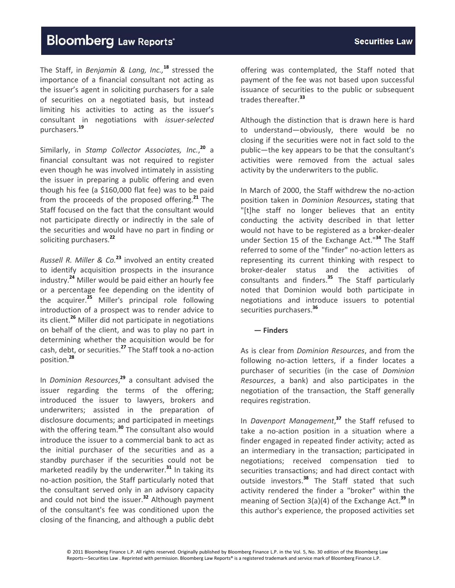### **Securities Law**

# **Bloomberg Law Reports'**

The Staff, in *Benjamin & Lang, Inc.,***<sup>18</sup>** stressed the importance of a financial consultant not acting as the issuer's agent in soliciting purchasers for a sale of securities on a negotiated basis, but instead limiting his activities to acting as the issuer's consultant in negotiations with *issuer‐selected* purchasers.**<sup>19</sup>**

Similarly, in *Stamp Collector Associates, Inc.*, **<sup>20</sup>** a financial consultant was not required to register even though he was involved intimately in assisting the issuer in preparing a public offering and even though his fee (a \$160,000 flat fee) was to be paid from the proceeds of the proposed offering.**<sup>21</sup>** The Staff focused on the fact that the consultant would not participate directly or indirectly in the sale of the securities and would have no part in finding or soliciting purchasers.**<sup>22</sup>**

*Russell R. Miller & Co.***<sup>23</sup>** involved an entity created to identify acquisition prospects in the insurance industry.**<sup>24</sup>** Miller would be paid either an hourly fee or a percentage fee depending on the identity of the acquirer.**<sup>25</sup>** Miller's principal role following introduction of a prospect was to render advice to its client.**<sup>26</sup>** Miller did not participate in negotiations on behalf of the client, and was to play no part in determining whether the acquisition would be for cash, debt, or securities.**<sup>27</sup>** The Staff took a no‐action position.**<sup>28</sup>**

In *Dominion Resources*, **<sup>29</sup>** a consultant advised the issuer regarding the terms of the offering; introduced the issuer to lawyers, brokers and underwriters; assisted in the preparation of disclosure documents; and participated in meetings with the offering team.**<sup>30</sup>** The consultant also would introduce the issuer to a commercial bank to act as the initial purchaser of the securities and as a standby purchaser if the securities could not be marketed readily by the underwriter.**<sup>31</sup>** In taking its no‐action position, the Staff particularly noted that the consultant served only in an advisory capacity and could not bind the issuer.**<sup>32</sup>** Although payment of the consultant's fee was conditioned upon the closing of the financing, and although a public debt

offering was contemplated, the Staff noted that payment of the fee was not based upon successful issuance of securities to the public or subsequent trades thereafter.**<sup>33</sup>**

Although the distinction that is drawn here is hard to understand—obviously, there would be no closing if the securities were not in fact sold to the public—the key appears to be that the consultant's activities were removed from the actual sales activity by the underwriters to the public.

In March of 2000, the Staff withdrew the no‐action position taken in *Dominion Resources***,** stating that "[t]he staff no longer believes that an entity conducting the activity described in that letter would not have to be registered as a broker‐dealer under Section 15 of the Exchange Act."**<sup>34</sup>** The Staff referred to some of the "finder" no‐action letters as representing its current thinking with respect to broker‐dealer status and the activities of consultants and finders.**<sup>35</sup>** The Staff particularly noted that Dominion would both participate in negotiations and introduce issuers to potential securities purchasers.**<sup>36</sup>**

#### **— Finders**

As is clear from *Dominion Resources*, and from the following no-action letters, if a finder locates a purchaser of securities (in the case of *Dominion Resources*, a bank) and also participates in the negotiation of the transaction, the Staff generally requires registration.

In *Davenport Management*, **<sup>37</sup>** the Staff refused to take a no‐action position in a situation where a finder engaged in repeated finder activity; acted as an intermediary in the transaction; participated in negotiations; received compensation tied to securities transactions; and had direct contact with outside investors.**<sup>38</sup>** The Staff stated that such activity rendered the finder a "broker" within the meaning of Section 3(a)(4) of the Exchange Act.**<sup>39</sup>** In this author's experience, the proposed activities set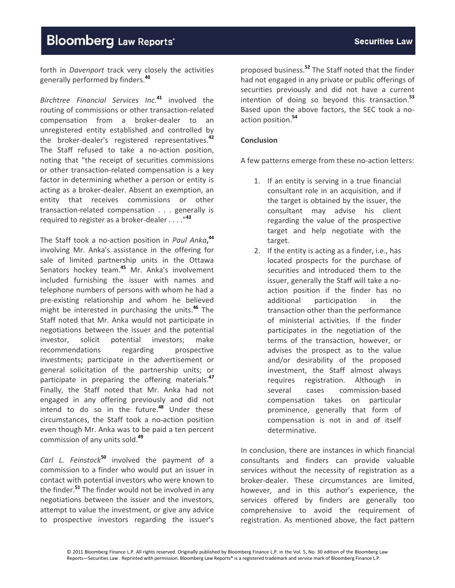forth in *Davenport* track very closely the activities generally performed by finders.**<sup>40</sup>**

*Birchtree Financial Services Inc.***<sup>41</sup>** involved the routing of commissions or other transaction‐related compensation from a broker‐dealer to an unregistered entity established and controlled by the broker‐dealer's registered representatives.**<sup>42</sup>** The Staff refused to take a no-action position, noting that "the receipt of securities commissions or other transaction‐related compensation is a key factor in determining whether a person or entity is acting as a broker‐dealer. Absent an exemption, an entity that receives commissions or other transaction‐related compensation . . . generally is required to register as a broker‐dealer . . . ."**<sup>43</sup>**

The Staff took a no‐action position in *Paul Anka***, 44** involving Mr. Anka's assistance in the offering for sale of limited partnership units in the Ottawa Senators hockey team.**<sup>45</sup>** Mr. Anka's involvement included furnishing the issuer with names and telephone numbers of persons with whom he had a pre‐existing relationship and whom he believed might be interested in purchasing the units.**<sup>46</sup>** The Staff noted that Mr. Anka would not participate in negotiations between the issuer and the potential investor, solicit potential investors; make recommendations regarding prospective investments; participate in the advertisement or general solicitation of the partnership units; or participate in preparing the offering materials.**<sup>47</sup>** Finally, the Staff noted that Mr. Anka had not engaged in any offering previously and did not intend to do so in the future.**<sup>48</sup>** Under these circumstances, the Staff took a no‐action position even though Mr. Anka was to be paid a ten percent commission of any units sold.**<sup>49</sup>**

*Carl L. Feinstock***<sup>50</sup>** involved the payment of a commission to a finder who would put an issuer in contact with potential investors who were known to the finder.**<sup>51</sup>** The finder would not be involved in any negotiations between the issuer and the investors, attempt to value the investment, or give any advice to prospective investors regarding the issuer's

proposed business.**<sup>52</sup>** The Staff noted that the finder had not engaged in any private or public offerings of securities previously and did not have a current intention of doing so beyond this transaction.**<sup>53</sup>** Based upon the above factors, the SEC took a no‐ action position.**<sup>54</sup>**

### **Conclusion**

A few patterns emerge from these no‐action letters:

- 1. If an entity is serving in a true financial consultant role in an acquisition, and if the target is obtained by the issuer, the consultant may advise his client regarding the value of the prospective target and help negotiate with the target.
- 2. If the entity is acting as a finder, i.e., has located prospects for the purchase of securities and introduced them to the issuer, generally the Staff will take a no‐ action position if the finder has no additional participation in the transaction other than the performance of ministerial activities. If the finder participates in the negotiation of the terms of the transaction, however, or advises the prospect as to the value and/or desirability of the proposed investment, the Staff almost always requires registration. Although in several cases commission‐based compensation takes on particular prominence, generally that form of compensation is not in and of itself determinative.

In conclusion, there are instances in which financial consultants and finders can provide valuable services without the necessity of registration as a broker‐dealer. These circumstances are limited, however, and in this author's experience, the services offered by finders are generally too comprehensive to avoid the requirement of registration. As mentioned above, the fact pattern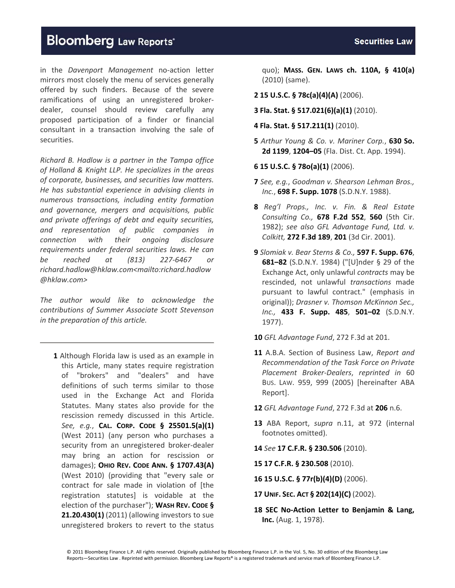in the *Davenport Management* no‐action letter mirrors most closely the menu of services generally offered by such finders. Because of the severe ramifications of using an unregistered broker‐ dealer, counsel should review carefully any proposed participation of a finder or financial consultant in a transaction involving the sale of securities.

*Richard B. Hadlow is a partner in the Tampa office of Holland & Knight LLP. He specializes in the areas of corporate, businesses, and securities law matters. He has substantial experience in advising clients in numerous transactions, including entity formation and governance, mergers and acquisitions, public and private offerings of debt and equity securities, and representation of public companies in connection with their ongoing disclosure requirements under federal securities laws. He can be reached at (813) 227‐6467 or richard.hadlow@hklaw.com<mailto:richard.hadlow @hklaw.com>*

*The author would like to acknowledge the contributions of Summer Associate Scott Stevenson in the preparation of this article.*

**1** Although Florida law is used as an example in this Article, many states require registration of "brokers" and "dealers" and have definitions of such terms similar to those used in the Exchange Act and Florida Statutes. Many states also provide for the rescission remedy discussed in this Article. *See, e.g.*, **CAL. CORP. CODE § 25501.5(a)(1)** (West 2011) (any person who purchases a security from an unregistered broker‐dealer may bring an action for rescission or damages); **OHIO REV. CODE ANN. § 1707.43(A)** (West 2010) (providing that "every sale or contract for sale made in violation of [the registration statutes] is voidable at the election of the purchaser"); **WASH REV. CODE § 21.20.430(1)** (2011) (allowing investors to sue unregistered brokers to revert to the status

quo); **MASS. GEN. LAWS ch. 110A, § 410(a)** (2010) (same).

- **2 15 U.S.C. § 78c(a)(4)(A)** (2006).
- **3 Fla. Stat. § 517.021(6)(a)(1)** (2010).
- **4 Fla. Stat. § 517.211(1)** (2010).
- **5** *Arthur Young & Co. v. Mariner Corp.*, **630 So. 2d 1199**, **1204–05** (Fla. Dist. Ct. App. 1994).
- **6 15 U.S.C. § 78o(a)(1)** (2006).
- **7** *See, e.g.*, *Goodman v. Shearson Lehman Bros., Inc.*, **698 F. Supp. 1078** (S.D.N.Y. 1988).
- **8** *Reg'l Props., Inc. v. Fin. & Real Estate Consulting Co.,* **678 F.2d 552**, **560** (5th Cir. 1982); *see also GFL Advantage Fund, Ltd. v. Colkitt,* **272 F.3d 189**, **201** (3d Cir. 2001).
- **9** *Slomiak v. Bear Sterns & Co.,* **597 F. Supp. 676**, **681–82** (S.D.N.Y. 1984) ("[U]nder § 29 of the Exchange Act, only unlawful *contracts* may be rescinded, not unlawful *transactions* made pursuant to lawful contract." (emphasis in original)); *Drasner v. Thomson McKinnon Sec., Inc.,* **433 F. Supp. 485**, **501–02** (S.D.N.Y. 1977).

**10** *GFL Advantage Fund*, 272 F.3d at 201.

- **11** A.B.A. Section of Business Law, *Report and Recommendation of the Task Force on Private Placement Broker‐Dealers*, *reprinted in* 60 BUS. LAW. 959, 999 (2005) [hereinafter ABA Report].
- **12** *GFL Advantage Fund*, 272 F.3d at **206** n.6.
- **13** ABA Report, *supra* n.11, at 972 (internal footnotes omitted).
- **14** *See* **17 C.F.R. § 230.506** (2010).

**15 17 C.F.R. § 230.508** (2010).

**16 15 U.S.C. § 77r(b)(4)(D)** (2006).

**17 UNIF. SEC. ACT § 202(14)(C)** (2002).

**18 SEC No‐Action Letter to Benjamin & Lang, Inc.** (Aug. 1, 1978).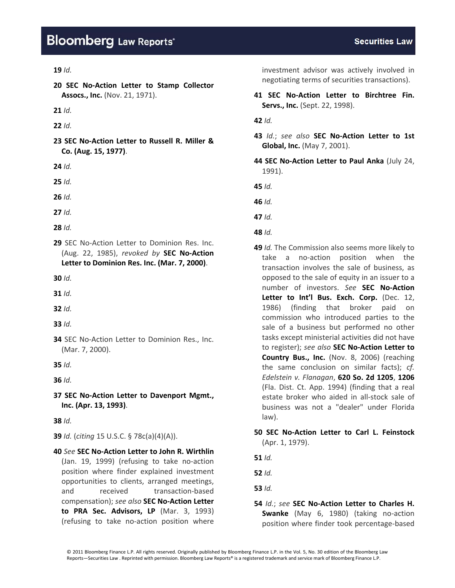#### **19** *Id.*

**20 SEC No‐Action Letter to Stamp Collector Assocs., Inc.** (Nov. 21, 1971).

**21** *Id.*

- **22** *Id.*
- **23 SEC No‐Action Letter to Russell R. Miller & Co. (Aug. 15, 1977)**.

**24** *Id.*

**25** *Id.*

**26** *Id.*

**27** *Id.*

**28** *Id.*

**29** SEC No‐Action Letter to Dominion Res. Inc. (Aug. 22, 1985), *revoked by* **SEC No‐Action Letter to Dominion Res. Inc. (Mar. 7, 2000)**.

**30** *Id.*

**31** *Id.*

**32** *Id.*

**33** *Id.*

**34** SEC No‐Action Letter to Dominion Res., Inc. (Mar. 7, 2000).

**35** *Id.*

**36** *Id.*

**37 SEC No‐Action Letter to Davenport Mgmt., Inc. (Apr. 13, 1993)**.

**38** *Id.*

**39** *Id.* (*citing* 15 U.S.C. § 78c(a)(4)(A)).

**40** *See* **SEC No‐Action Letter to John R. Wirthlin** (Jan. 19, 1999) (refusing to take no‐action position where finder explained investment opportunities to clients, arranged meetings, and received transaction‐based compensation); *see also* **SEC No‐Action Letter to PRA Sec. Advisors, LP** (Mar. 3, 1993) (refusing to take no‐action position where

investment advisor was actively involved in negotiating terms of securities transactions).

**41 SEC No‐Action Letter to Birchtree Fin. Servs., Inc.** (Sept. 22, 1998).

**42** *Id.*

**43** *Id.*; *see also* **SEC No‐Action Letter to 1st Global, Inc.** (May 7, 2001).

**44 SEC No‐Action Letter to Paul Anka** (July 24, 1991).

**45** *Id.*

**46** *Id.*

**47** *Id.*

- **48** *Id.*
- **49** *Id.* The Commission also seems more likely to take a no‐action position when the transaction involves the sale of business, as opposed to the sale of equity in an issuer to a number of investors. *See* **SEC No‐Action Letter to Int'l Bus. Exch. Corp.** (Dec. 12, 1986) (finding that broker paid on commission who introduced parties to the sale of a business but performed no other tasks except ministerial activities did not have to register); *see also* **SEC No‐Action Letter to Country Bus., Inc.** (Nov. 8, 2006) (reaching the same conclusion on similar facts); *cf. Edelstein v. Flanagan*, **620 So. 2d 1205**, **1206** (Fla. Dist. Ct. App. 1994) (finding that a real estate broker who aided in all‐stock sale of business was not a "dealer" under Florida law).
- **50 SEC No‐Action Letter to Carl L. Feinstock** (Apr. 1, 1979).

**51** *Id.*

**52** *Id.*

**53** *Id.*

**54** *Id.*; *see* **SEC No‐Action Letter to Charles H. Swanke** (May 6, 1980) (taking no‐action position where finder took percentage‐based